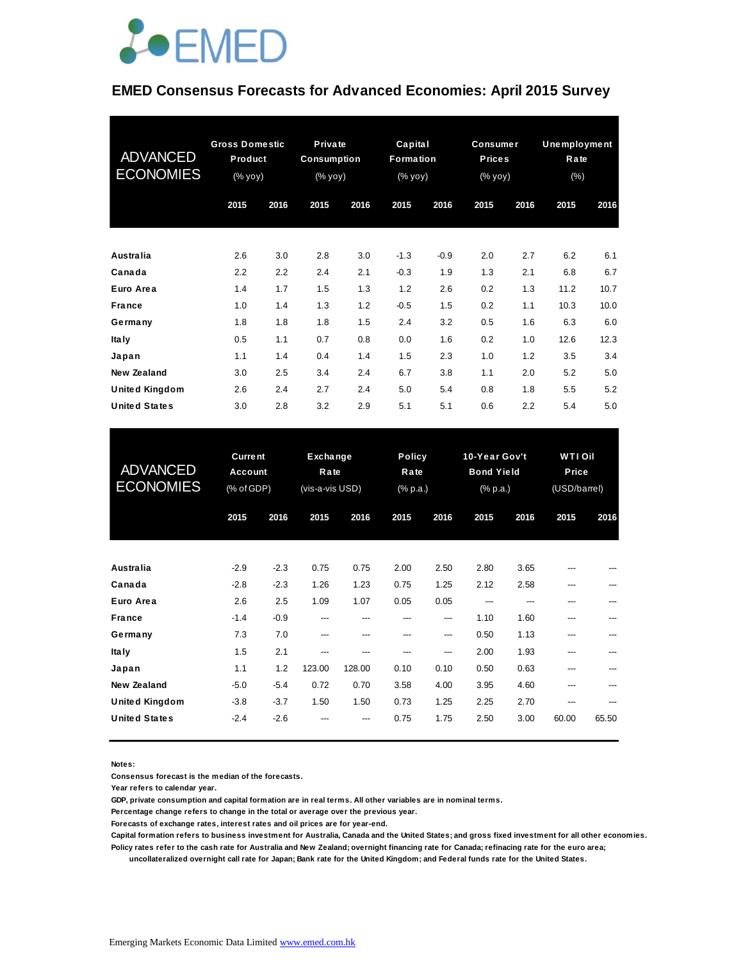

### **EMED Consensus Forecasts for Advanced Economies: April 2015 Survey**

| <b>ADVANCED</b><br><b>ECONOMIES</b> | <b>Gross Domestic</b><br>Product<br>(% yoy) |      | Private<br><b>Consumption</b><br>(% yoy) |      |        | Capital<br>Formation<br>(% yoy) |      | <b>Consumer</b><br><b>Prices</b><br>(% yoy) | <b>Unemployment</b><br>Rate<br>$(\% )$ |      |
|-------------------------------------|---------------------------------------------|------|------------------------------------------|------|--------|---------------------------------|------|---------------------------------------------|----------------------------------------|------|
|                                     | 2015                                        | 2016 | 2015                                     | 2016 | 2015   | 2016                            | 2015 | 2016                                        | 2015                                   | 2016 |
| Australia                           | 2.6                                         | 3.0  | 2.8                                      | 3.0  | $-1.3$ | $-0.9$                          | 2.0  | 2.7                                         | 6.2                                    | 6.1  |
| Canada                              | 2.2                                         | 2.2  | 2.4                                      | 2.1  | $-0.3$ | 1.9                             | 1.3  | 2.1                                         | 6.8                                    | 6.7  |
| Euro Area                           | 1.4                                         | 1.7  | 1.5                                      | 1.3  | 1.2    | 2.6                             | 0.2  | 1.3                                         | 11.2                                   | 10.7 |
| <b>France</b>                       | 1.0                                         | 1.4  | 1.3                                      | 1.2  | $-0.5$ | 1.5                             | 0.2  | 1.1                                         | 10.3                                   | 10.0 |
| Germany                             | 1.8                                         | 1.8  | 1.8                                      | 1.5  | 2.4    | 3.2                             | 0.5  | 1.6                                         | 6.3                                    | 6.0  |
| <b>Italy</b>                        | 0.5                                         | 1.1  | 0.7                                      | 0.8  | 0.0    | 1.6                             | 0.2  | 1.0                                         | 12.6                                   | 12.3 |
| Japan                               | 1.1                                         | 1.4  | 0.4                                      | 1.4  | 1.5    | 2.3                             | 1.0  | 1.2                                         | 3.5                                    | 3.4  |
| <b>New Zealand</b>                  | 3.0                                         | 2.5  | 3.4                                      | 2.4  | 6.7    | 3.8                             | 1.1  | 2.0                                         | 5.2                                    | 5.0  |
| <b>United Kingdom</b>               | 2.6                                         | 2.4  | 2.7                                      | 2.4  | 5.0    | 5.4                             | 0.8  | 1.8                                         | 5.5                                    | 5.2  |
| <b>United States</b>                | 3.0                                         | 2.8  | 3.2                                      | 2.9  | 5.1    | 5.1                             | 0.6  | 2.2                                         | 5.4                                    | 5.0  |

| <b>United States</b>                | 3.0                                     | 2.8    | 3.2                                 | 2.9    | 5.1                               | 5.1  | 0.6                                            | 2.2  | 5.4                                     | 5.0   |
|-------------------------------------|-----------------------------------------|--------|-------------------------------------|--------|-----------------------------------|------|------------------------------------------------|------|-----------------------------------------|-------|
| <b>ADVANCED</b><br><b>ECONOMIES</b> | <b>Current</b><br>Account<br>(% of GDP) |        | Exchange<br>Rate<br>(vis-a-vis USD) |        | <b>Policy</b><br>Rate<br>(% p.a.) |      | 10-Year Gov't<br><b>Bond Yield</b><br>(% p.a.) |      | <b>WTI Oil</b><br>Price<br>(USD/barrel) |       |
|                                     | 2015                                    | 2016   | 2015                                | 2016   | 2015                              | 2016 | 2015                                           | 2016 | 2015                                    | 2016  |
| Australia                           |                                         | $-2.3$ | 0.75                                | 0.75   | 2.00                              | 2.50 | 2.80                                           | 3.65 |                                         |       |
| Canada                              | $-2.9$<br>$-2.8$                        | $-2.3$ | 1.26                                | 1.23   | 0.75                              | 1.25 | 2.12                                           | 2.58 | ---<br>---                              |       |
| Euro Area                           | 2.6                                     | 2.5    | 1.09                                | 1.07   | 0.05                              | 0.05 | ---                                            | ---  | ---                                     | ---   |
| <b>France</b>                       | $-1.4$                                  | $-0.9$ | ---                                 | ---    | ---                               | ---  | 1.10                                           | 1.60 | ---                                     |       |
| Germany                             | 7.3                                     | 7.0    | ---                                 | ---    | ---                               | ---  | 0.50                                           | 1.13 | ---                                     |       |
| <b>Italy</b>                        | 1.5                                     | 2.1    | ---                                 | ---    | ---                               | ---  | 2.00                                           | 1.93 | ---                                     | ---   |
| Japan                               | 1.1                                     | 1.2    | 123.00                              | 128.00 | 0.10                              | 0.10 | 0.50                                           | 0.63 | ---                                     | ---   |
| <b>New Zealand</b>                  | $-5.0$                                  | $-5.4$ | 0.72                                | 0.70   | 3.58                              | 4.00 | 3.95                                           | 4.60 | ---                                     |       |
| <b>United Kingdom</b>               | $-3.8$                                  | $-3.7$ | 1.50                                | 1.50   | 0.73                              | 1.25 | 2.25                                           | 2.70 | ---                                     |       |
| <b>United States</b>                | $-2.4$                                  | $-2.6$ |                                     | ---    | 0.75                              | 1.75 | 2.50                                           | 3.00 | 60.00                                   | 65.50 |

**Notes:** 

**Consensus forecast is the median of the forecasts.**

**Year refers to calendar year.**

**GDP, private consumption and capital formation are in real terms. All other variables are in nominal terms.**

**Percentage change refers to change in the total or average over the previous year.**

**Forecasts of exchange rates, interest rates and oil prices are for year-end.**

**Capital formation refers to business investment for Australia, Canada and the United States; and gross fixed investment for all other economies. Policy rates refer to the cash rate for Australia and New Zealand; overnight financing rate for Canada; refinacing rate for the euro area;** 

 **uncollateralized overnight call rate for Japan; Bank rate for the United Kingdom; and Federal funds rate for the United States.**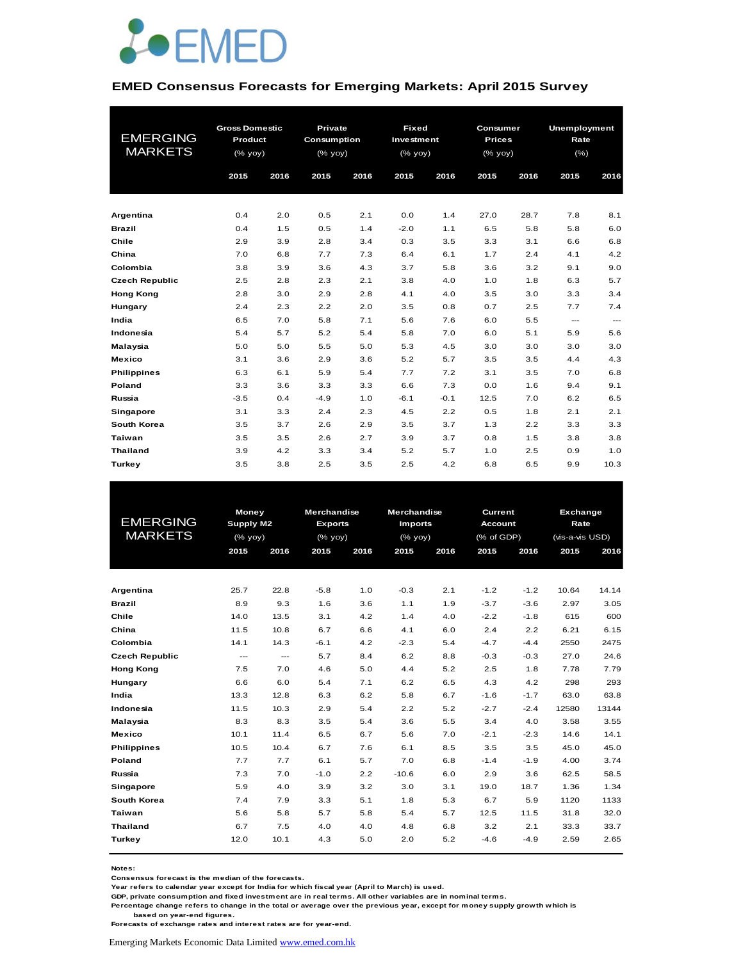

#### **EMED Consensus Forecasts for Emerging Markets: April 2015 Survey**

|                       | <b>Gross Domestic</b> |      | Private     |      | <b>Fixed</b> |        | Consumer      |      |      | <b>Unemployment</b>      |  |
|-----------------------|-----------------------|------|-------------|------|--------------|--------|---------------|------|------|--------------------------|--|
| <b>EMERGING</b>       | Product               |      | Consumption |      | Investment   |        | <b>Prices</b> |      | Rate |                          |  |
| <b>MARKETS</b>        | $(%$ (% yoy)          |      | (% yoy)     |      | $(%$ (% yoy) |        | (% yoy)       |      | (%)  |                          |  |
|                       | 2015                  | 2016 | 2015        | 2016 | 2015         | 2016   | 2015          | 2016 | 2015 | 2016                     |  |
|                       |                       |      |             |      |              |        |               |      |      |                          |  |
|                       |                       |      |             |      |              |        |               |      |      |                          |  |
| Argentina             | 0.4                   | 2.0  | 0.5         | 2.1  | 0.0          | 1.4    | 27.0          | 28.7 | 7.8  | 8.1                      |  |
| <b>Brazil</b>         | 0.4                   | 1.5  | 0.5         | 1.4  | $-2.0$       | 1.1    | 6.5           | 5.8  | 5.8  | 6.0                      |  |
| Chile                 | 2.9                   | 3.9  | 2.8         | 3.4  | 0.3          | 3.5    | 3.3           | 3.1  | 6.6  | 6.8                      |  |
| China                 | 7.0                   | 6.8  | 7.7         | 7.3  | 6.4          | 6.1    | 1.7           | 2.4  | 4.1  | 4.2                      |  |
| Colombia              | 3.8                   | 3.9  | 3.6         | 4.3  | 3.7          | 5.8    | 3.6           | 3.2  | 9.1  | 9.0                      |  |
| <b>Czech Republic</b> | 2.5                   | 2.8  | 2.3         | 2.1  | 3.8          | 4.0    | 1.0           | 1.8  | 6.3  | 5.7                      |  |
| <b>Hong Kong</b>      | 2.8                   | 3.0  | 2.9         | 2.8  | 4.1          | 4.0    | 3.5           | 3.0  | 3.3  | 3.4                      |  |
| Hungary               | 2.4                   | 2.3  | 2.2         | 2.0  | 3.5          | 0.8    | 0.7           | 2.5  | 7.7  | 7.4                      |  |
| India                 | 6.5                   | 7.0  | 5.8         | 7.1  | 5.6          | 7.6    | 6.0           | 5.5  | ---  | $\hspace{0.05cm} \ldots$ |  |
| Indonesia             | 5.4                   | 5.7  | 5.2         | 5.4  | 5.8          | 7.0    | 6.0           | 5.1  | 5.9  | 5.6                      |  |
| Malaysia              | 5.0                   | 5.0  | 5.5         | 5.0  | 5.3          | 4.5    | 3.0           | 3.0  | 3.0  | 3.0                      |  |
| <b>Mexico</b>         | 3.1                   | 3.6  | 2.9         | 3.6  | 5.2          | 5.7    | 3.5           | 3.5  | 4.4  | 4.3                      |  |
| <b>Philippines</b>    | 6.3                   | 6.1  | 5.9         | 5.4  | 7.7          | 7.2    | 3.1           | 3.5  | 7.0  | 6.8                      |  |
| Poland                | 3.3                   | 3.6  | 3.3         | 3.3  | 6.6          | 7.3    | 0.0           | 1.6  | 9.4  | 9.1                      |  |
| Russia                | $-3.5$                | 0.4  | $-4.9$      | 1.0  | $-6.1$       | $-0.1$ | 12.5          | 7.0  | 6.2  | 6.5                      |  |
| Singapore             | 3.1                   | 3.3  | 2.4         | 2.3  | 4.5          | 2.2    | 0.5           | 1.8  | 2.1  | 2.1                      |  |
| South Korea           | 3.5                   | 3.7  | 2.6         | 2.9  | 3.5          | 3.7    | 1.3           | 2.2  | 3.3  | 3.3                      |  |
| <b>Taiwan</b>         | 3.5                   | 3.5  | 2.6         | 2.7  | 3.9          | 3.7    | 0.8           | 1.5  | 3.8  | 3.8                      |  |
| <b>Thailand</b>       | 3.9                   | 4.2  | 3.3         | 3.4  | 5.2          | 5.7    | 1.0           | 2.5  | 0.9  | 1.0                      |  |
| Turkey                | 3.5                   | 3.8  | 2.5         | 3.5  | 2.5          | 4.2    | 6.8           | 6.5  | 9.9  | 10.3                     |  |

| <b>EMERGING</b><br><b>MARKETS</b> | <b>Money</b><br><b>Supply M2</b><br>$(%$ $\mathsf{yoy})$ |      | Merchandise<br><b>Exports</b><br>$(%$ (% yoy) |      | Merchandise<br><b>Imports</b><br>$(%$ (% yoy) |      | <b>Current</b><br><b>Account</b><br>(% of GDP) |        | Exchange<br>Rate<br>(vis-a-vis USD) |       |
|-----------------------------------|----------------------------------------------------------|------|-----------------------------------------------|------|-----------------------------------------------|------|------------------------------------------------|--------|-------------------------------------|-------|
|                                   | 2015                                                     | 2016 | 2015                                          | 2016 | 2015                                          | 2016 | 2015                                           | 2016   | 2015                                | 2016  |
|                                   |                                                          |      |                                               |      |                                               |      |                                                |        |                                     |       |
| Argentina                         | 25.7                                                     | 22.8 | $-5.8$                                        | 1.0  | $-0.3$                                        | 2.1  | $-1.2$                                         | $-1.2$ | 10.64                               | 14.14 |
| <b>Brazil</b>                     | 8.9                                                      | 9.3  | 1.6                                           | 3.6  | 1.1                                           | 1.9  | $-3.7$                                         | $-3.6$ | 2.97                                | 3.05  |
| Chile                             | 14.0                                                     | 13.5 | 3.1                                           | 4.2  | 1.4                                           | 4.0  | $-2.2$                                         | $-1.8$ | 615                                 | 600   |
| China                             | 11.5                                                     | 10.8 | 6.7                                           | 6.6  | 4.1                                           | 6.0  | 2.4                                            | 2.2    | 6.21                                | 6.15  |
| Colombia                          | 14.1                                                     | 14.3 | $-6.1$                                        | 4.2  | $-2.3$                                        | 5.4  | $-4.7$                                         | $-4.4$ | 2550                                | 2475  |
| <b>Czech Republic</b>             | ---                                                      | ---  | 5.7                                           | 8.4  | 6.2                                           | 8.8  | $-0.3$                                         | $-0.3$ | 27.0                                | 24.6  |
| <b>Hong Kong</b>                  | 7.5                                                      | 7.0  | 4.6                                           | 5.0  | 4.4                                           | 5.2  | 2.5                                            | 1.8    | 7.78                                | 7.79  |
| Hungary                           | 6.6                                                      | 6.0  | 5.4                                           | 7.1  | 6.2                                           | 6.5  | 4.3                                            | 4.2    | 298                                 | 293   |
| India                             | 13.3                                                     | 12.8 | 6.3                                           | 6.2  | 5.8                                           | 6.7  | $-1.6$                                         | $-1.7$ | 63.0                                | 63.8  |
| Indonesia                         | 11.5                                                     | 10.3 | 2.9                                           | 5.4  | 2.2                                           | 5.2  | $-2.7$                                         | $-2.4$ | 12580                               | 13144 |
| Malaysia                          | 8.3                                                      | 8.3  | 3.5                                           | 5.4  | 3.6                                           | 5.5  | 3.4                                            | 4.0    | 3.58                                | 3.55  |
| <b>Mexico</b>                     | 10.1                                                     | 11.4 | 6.5                                           | 6.7  | 5.6                                           | 7.0  | $-2.1$                                         | $-2.3$ | 14.6                                | 14.1  |
| <b>Philippines</b>                | 10.5                                                     | 10.4 | 6.7                                           | 7.6  | 6.1                                           | 8.5  | 3.5                                            | 3.5    | 45.0                                | 45.0  |
| Poland                            | 7.7                                                      | 7.7  | 6.1                                           | 5.7  | 7.0                                           | 6.8  | $-1.4$                                         | $-1.9$ | 4.00                                | 3.74  |
| Russia                            | 7.3                                                      | 7.0  | $-1.0$                                        | 2.2  | $-10.6$                                       | 6.0  | 2.9                                            | 3.6    | 62.5                                | 58.5  |
| Singapore                         | 5.9                                                      | 4.0  | 3.9                                           | 3.2  | 3.0                                           | 3.1  | 19.0                                           | 18.7   | 1.36                                | 1.34  |
| South Korea                       | 7.4                                                      | 7.9  | 3.3                                           | 5.1  | 1.8                                           | 5.3  | 6.7                                            | 5.9    | 1120                                | 1133  |
| Taiwan                            | 5.6                                                      | 5.8  | 5.7                                           | 5.8  | 5.4                                           | 5.7  | 12.5                                           | 11.5   | 31.8                                | 32.0  |
| <b>Thailand</b>                   | 6.7                                                      | 7.5  | 4.0                                           | 4.0  | 4.8                                           | 6.8  | 3.2                                            | 2.1    | 33.3                                | 33.7  |
| <b>Turkey</b>                     | 12.0                                                     | 10.1 | 4.3                                           | 5.0  | 2.0                                           | 5.2  | $-4.6$                                         | $-4.9$ | 2.59                                | 2.65  |

**Notes:** 

**Consensus forecast is the median of the forecasts.**

**Year refers to calendar year except for India for which fiscal year (April to March) is used.**

**GDP, private consumption and fixed investment are in real terms. All other variables are in nominal terms.**

**Percentage change refers to change in the total or average over the previous year, except for money supply growth which is based on year-end figures.**

**Forecasts of exchange rates and interest rates are for year-end.**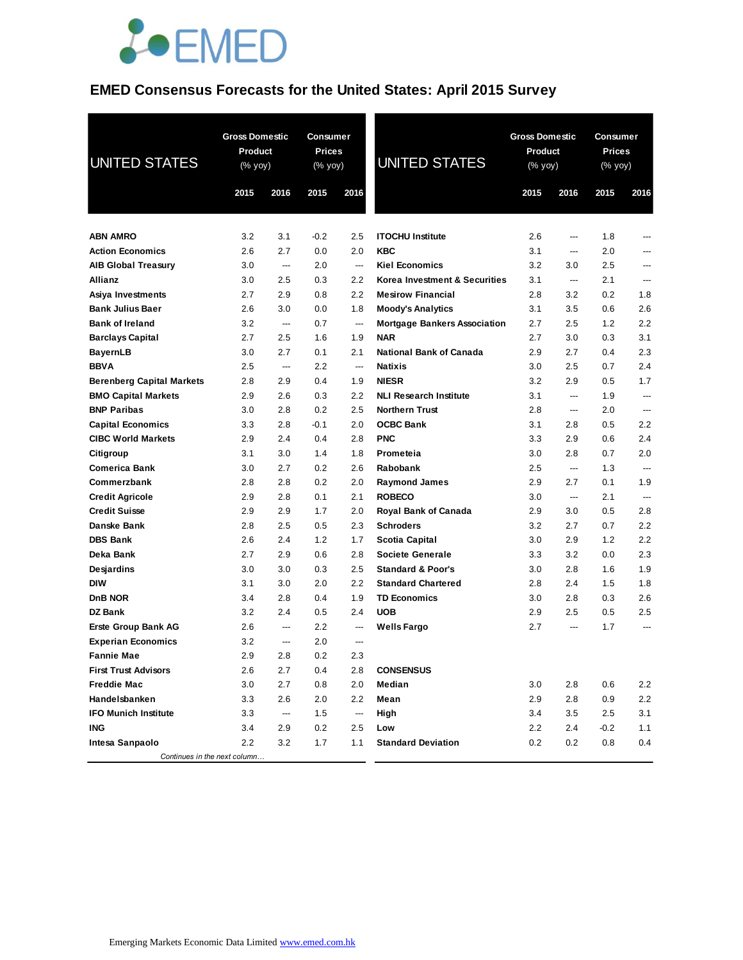

# **EMED Consensus Forecasts for the United States: April 2015 Survey**

| <b>UNITED STATES</b>             | <b>Gross Domestic</b><br><b>Product</b><br>$(% \overline{y})$ (% yoy) |      | Consumer<br><b>Prices</b><br>$(% \mathsf{Y}\cup \mathsf{Y})$ (% $\mathsf{Y}\cup \mathsf{Y}$ ) |                          | <b>UNITED STATES</b>                | <b>Gross Domestic</b><br><b>Product</b><br>(% yoy) |                          | Consumer<br><b>Prices</b><br>(% yoy) |       |
|----------------------------------|-----------------------------------------------------------------------|------|-----------------------------------------------------------------------------------------------|--------------------------|-------------------------------------|----------------------------------------------------|--------------------------|--------------------------------------|-------|
|                                  | 2015                                                                  | 2016 | 2015                                                                                          | 2016                     |                                     | 2015                                               | 2016                     | 2015                                 | 2016  |
|                                  |                                                                       |      |                                                                                               |                          |                                     |                                                    |                          |                                      |       |
| <b>ABN AMRO</b>                  | 3.2                                                                   | 3.1  | $-0.2$                                                                                        | 2.5                      | <b>ITOCHU Institute</b>             | 2.6                                                | ---                      | 1.8                                  |       |
| <b>Action Economics</b>          | 2.6                                                                   | 2.7  | 0.0                                                                                           | 2.0                      | <b>KBC</b>                          | 3.1                                                | ---                      | 2.0                                  |       |
| <b>AIB Global Treasury</b>       | 3.0                                                                   | ---  | 2.0                                                                                           | ---                      | <b>Kiel Economics</b>               | 3.2                                                | 3.0                      | 2.5                                  |       |
| Allianz                          | 3.0                                                                   | 2.5  | 0.3                                                                                           | 2.2                      | Korea Investment & Securities       | 3.1                                                | ---                      | 2.1                                  | ---   |
| Asiya Investments                | 2.7                                                                   | 2.9  | 0.8                                                                                           | 2.2                      | <b>Mesirow Financial</b>            | 2.8                                                | 3.2                      | 0.2                                  | 1.8   |
| <b>Bank Julius Baer</b>          | 2.6                                                                   | 3.0  | 0.0                                                                                           | 1.8                      | <b>Moody's Analytics</b>            | 3.1                                                | 3.5                      | 0.6                                  | 2.6   |
| <b>Bank of Ireland</b>           | 3.2                                                                   | ---  | 0.7                                                                                           | ---                      | <b>Mortgage Bankers Association</b> | 2.7                                                | 2.5                      | 1.2                                  | 2.2   |
| <b>Barclays Capital</b>          | 2.7                                                                   | 2.5  | 1.6                                                                                           | 1.9                      | <b>NAR</b>                          | 2.7                                                | 3.0                      | 0.3                                  | 3.1   |
| <b>BayernLB</b>                  | 3.0                                                                   | 2.7  | 0.1                                                                                           | 2.1                      | <b>National Bank of Canada</b>      | 2.9                                                | 2.7                      | 0.4                                  | 2.3   |
| <b>BBVA</b>                      | 2.5                                                                   | ---  | 2.2                                                                                           | ---                      | <b>Natixis</b>                      | 3.0                                                | 2.5                      | 0.7                                  | 2.4   |
| <b>Berenberg Capital Markets</b> | 2.8                                                                   | 2.9  | 0.4                                                                                           | 1.9                      | <b>NIESR</b>                        | 3.2                                                | 2.9                      | 0.5                                  | 1.7   |
| <b>BMO Capital Markets</b>       | 2.9                                                                   | 2.6  | 0.3                                                                                           | 2.2                      | <b>NLI Research Institute</b>       | 3.1                                                | $---$                    | 1.9                                  | ---   |
| <b>BNP Paribas</b>               | 3.0                                                                   | 2.8  | 0.2                                                                                           | 2.5                      | <b>Northern Trust</b>               | 2.8                                                | $\overline{a}$           | 2.0                                  | $---$ |
| <b>Capital Economics</b>         | 3.3                                                                   | 2.8  | $-0.1$                                                                                        | 2.0                      | <b>OCBC Bank</b>                    | 3.1                                                | 2.8                      | 0.5                                  | 2.2   |
| <b>CIBC World Markets</b>        | 2.9                                                                   | 2.4  | 0.4                                                                                           | 2.8                      | <b>PNC</b>                          | 3.3                                                | 2.9                      | 0.6                                  | 2.4   |
| Citigroup                        | 3.1                                                                   | 3.0  | 1.4                                                                                           | 1.8                      | Prometeia                           | 3.0                                                | 2.8                      | 0.7                                  | 2.0   |
| <b>Comerica Bank</b>             | 3.0                                                                   | 2.7  | 0.2                                                                                           | 2.6                      | <b>Rabobank</b>                     | 2.5                                                | ---                      | 1.3                                  | ---   |
| Commerzbank                      | 2.8                                                                   | 2.8  | 0.2                                                                                           | 2.0                      | <b>Raymond James</b>                | 2.9                                                | 2.7                      | 0.1                                  | 1.9   |
| <b>Credit Agricole</b>           | 2.9                                                                   | 2.8  | 0.1                                                                                           | 2.1                      | <b>ROBECO</b>                       | 3.0                                                | ---                      | 2.1                                  | ---   |
| <b>Credit Suisse</b>             | 2.9                                                                   | 2.9  | 1.7                                                                                           | 2.0                      | <b>Royal Bank of Canada</b>         | 2.9                                                | 3.0                      | 0.5                                  | 2.8   |
| Danske Bank                      | 2.8                                                                   | 2.5  | 0.5                                                                                           | 2.3                      | <b>Schroders</b>                    | 3.2                                                | 2.7                      | 0.7                                  | 2.2   |
| <b>DBS Bank</b>                  | 2.6                                                                   | 2.4  | 1.2                                                                                           | 1.7                      | Scotia Capital                      | 3.0                                                | 2.9                      | 1.2                                  | 2.2   |
| Deka Bank                        | 2.7                                                                   | 2.9  | 0.6                                                                                           | 2.8                      | <b>Societe Generale</b>             | 3.3                                                | 3.2                      | 0.0                                  | 2.3   |
| Desjardins                       | 3.0                                                                   | 3.0  | 0.3                                                                                           | 2.5                      | <b>Standard &amp; Poor's</b>        | 3.0                                                | 2.8                      | 1.6                                  | 1.9   |
| <b>DIW</b>                       | 3.1                                                                   | 3.0  | 2.0                                                                                           | 2.2                      | <b>Standard Chartered</b>           | 2.8                                                | 2.4                      | 1.5                                  | 1.8   |
| DnB NOR                          | 3.4                                                                   | 2.8  | 0.4                                                                                           | 1.9                      | <b>TD Economics</b>                 | 3.0                                                | 2.8                      | 0.3                                  | 2.6   |
| DZ Bank                          | 3.2                                                                   | 2.4  | 0.5                                                                                           | 2.4                      | <b>UOB</b>                          | 2.9                                                | 2.5                      | 0.5                                  | 2.5   |
| <b>Erste Group Bank AG</b>       | 2.6                                                                   | ---  | 2.2                                                                                           | ---                      | <b>Wells Fargo</b>                  | 2.7                                                | $\overline{\phantom{a}}$ | 1.7                                  | ---   |
| <b>Experian Economics</b>        | 3.2                                                                   | ---  | 2.0                                                                                           | ---                      |                                     |                                                    |                          |                                      |       |
| <b>Fannie Mae</b>                | 2.9                                                                   | 2.8  | 0.2                                                                                           | 2.3                      |                                     |                                                    |                          |                                      |       |
| <b>First Trust Advisors</b>      | 2.6                                                                   | 2.7  | 0.4                                                                                           | 2.8                      | <b>CONSENSUS</b>                    |                                                    |                          |                                      |       |
| Freddie Mac                      | 3.0                                                                   | 2.7  | 0.8                                                                                           | 2.0                      | Median                              | 3.0                                                | 2.8                      | 0.6                                  | 2.2   |
| Handelsbanken                    | 3.3                                                                   | 2.6  | 2.0                                                                                           | 2.2                      | Mean                                | 2.9                                                | 2.8                      | 0.9                                  | 2.2   |
| <b>IFO Munich Institute</b>      | 3.3                                                                   | ---  | 1.5                                                                                           | $\hspace{0.05cm} \cdots$ | High                                | 3.4                                                | 3.5                      | 2.5                                  | 3.1   |
| ING                              | 3.4                                                                   | 2.9  | 0.2                                                                                           | 2.5                      | Low                                 | 2.2                                                | 2.4                      | $-0.2$                               | 1.1   |
| Intesa Sanpaolo                  | 2.2                                                                   | 3.2  | 1.7                                                                                           | 1.1                      | <b>Standard Deviation</b>           | 0.2                                                | 0.2                      | 0.8                                  | 0.4   |
| Continues in the next column     |                                                                       |      |                                                                                               |                          |                                     |                                                    |                          |                                      |       |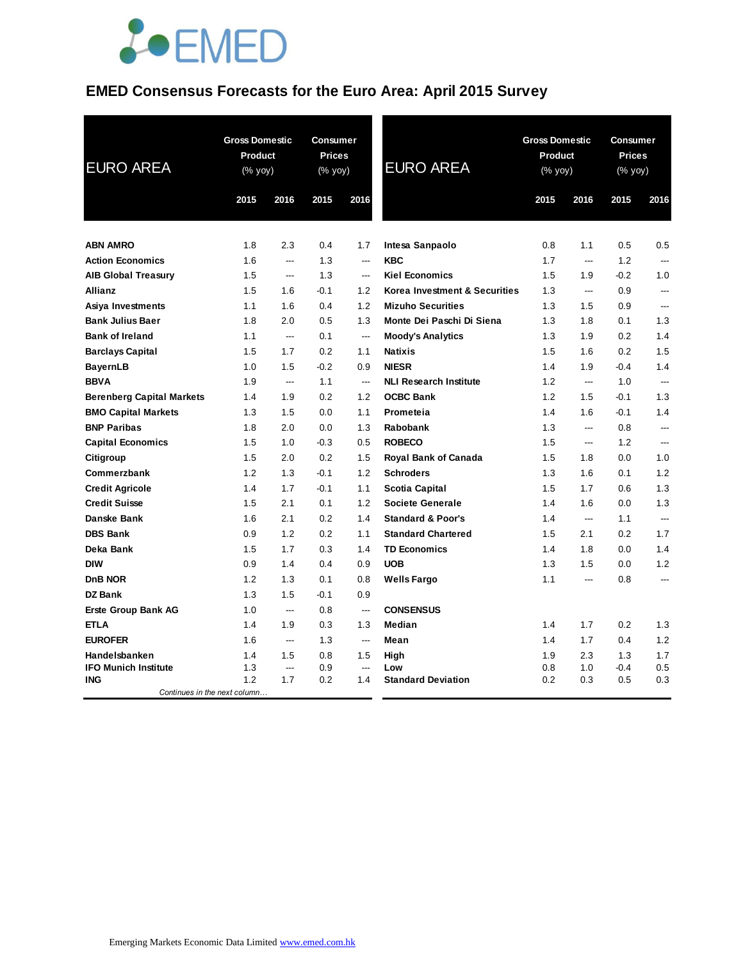

# **EMED Consensus Forecasts for the Euro Area: April 2015 Survey**

| 2015<br>2016<br>2015<br>2016<br>2015<br>2016<br>2015<br>2016<br><b>ABN AMRO</b><br>2.3<br>0.4<br>Intesa Sanpaolo<br>0.8<br>0.5<br>1.8<br>1.7<br>1.1<br>0.5<br><b>Action Economics</b><br><b>KBC</b><br>1.7<br>1.6<br>1.3<br>1.2<br>$\hspace{0.05cm} \ldots$<br>$---$<br>---<br>$\overline{a}$<br>1.5<br>1.3<br><b>Kiel Economics</b><br>1.5<br>$-0.2$<br>1.0<br><b>AIB Global Treasury</b><br>1.9<br>$---$<br>---<br>1.5<br>1.2<br>Korea Investment & Securities<br>1.3<br>0.9<br><b>Allianz</b><br>1.6<br>$-0.1$<br>---<br>$\overline{a}$<br>1.3<br>1.1<br>1.6<br>0.4<br>1.2<br><b>Mizuho Securities</b><br>1.5<br>Asiya Investments<br>0.9<br>---<br>Monte Dei Paschi Di Siena<br>1.3<br><b>Bank Julius Baer</b><br>1.8<br>2.0<br>0.5<br>1.3<br>1.3<br>1.8<br>0.1<br><b>Bank of Ireland</b><br>1.1<br>0.1<br><b>Moody's Analytics</b><br>1.3<br>1.9<br>0.2<br>1.4<br>---<br>$\overline{a}$<br>0.2<br><b>Barclays Capital</b><br>1.5<br>1.7<br>1.1<br><b>Natixis</b><br>1.5<br>1.6<br>0.2<br>1.5<br>1.5<br><b>BayernLB</b><br>1.0<br>$-0.2$<br>0.9<br><b>NIESR</b><br>1.4<br>1.9<br>$-0.4$<br>1.4<br><b>BBVA</b><br>1.9<br>1.1<br><b>NLI Research Institute</b><br>1.2<br>1.0<br>$\overline{a}$<br>$\overline{\phantom{a}}$<br>---<br>$\overline{a}$<br>0.2<br><b>OCBC Bank</b><br>1.2<br>1.3<br><b>Berenberg Capital Markets</b><br>1.4<br>1.9<br>1.2<br>1.5<br>$-0.1$<br>1.5<br>0.0<br>1.6<br>$-0.1$<br>1.4<br><b>BMO Capital Markets</b><br>1.3<br>1.1<br>Prometeia<br>1.4<br><b>BNP Paribas</b><br>1.8<br>2.0<br>0.0<br>1.3<br>1.3<br>Rabobank<br>0.8<br>---<br>$\overline{\phantom{a}}$<br>1.0<br><b>ROBECO</b><br><b>Capital Economics</b><br>1.5<br>$-0.3$<br>0.5<br>1.5<br>1.2<br>---<br>$\overline{a}$<br>1.5<br>2.0<br>0.2<br>1.5<br><b>Royal Bank of Canada</b><br>1.0<br>Citigroup<br>1.5<br>1.8<br>0.0<br>1.2<br>1.2<br>1.2<br>Commerzbank<br>1.3<br>$-0.1$<br><b>Schroders</b><br>1.3<br>1.6<br>0.1<br>1.3<br>1.7<br>1.1<br><b>Scotia Capital</b><br>1.5<br>1.7<br><b>Credit Agricole</b><br>1.4<br>$-0.1$<br>0.6<br>1.3<br><b>Credit Suisse</b><br>1.5<br>2.1<br>0.1<br>1.2<br>1.4<br>1.6<br>Societe Generale<br>0.0<br>Danske Bank<br>1.6<br>2.1<br>0.2<br>1.4<br><b>Standard &amp; Poor's</b><br>1.4<br>1.1<br>---<br>---<br><b>DBS Bank</b><br>0.9<br>1.2<br>0.2<br>1.1<br><b>Standard Chartered</b><br>1.5<br>2.1<br>0.2<br>1.7<br>Deka Bank<br>1.5<br>1.7<br>0.3<br>1.4<br><b>TD Economics</b><br>1.8<br>1.4<br>1.4<br>0.0<br><b>DIW</b><br>0.9<br>1.4<br>0.4<br>0.9<br><b>UOB</b><br>1.5<br>1.2<br>1.3<br>0.0<br>DnB NOR<br>1.2<br>1.3<br><b>Wells Fargo</b><br>1.1<br>0.1<br>0.8<br>0.8<br>---<br>---<br>DZ Bank<br>1.3<br>1.5<br>$-0.1$<br>0.9<br><b>CONSENSUS</b><br>Erste Group Bank AG<br>1.0<br>0.8<br>$\overline{\phantom{a}}$<br>$\hspace{0.05cm} \ldots$<br><b>ETLA</b><br>1.4<br>1.9<br>0.3<br>Median<br>1.4<br>0.2<br>1.3<br>1.3<br>1.7<br><b>EUROFER</b><br>1.2<br>1.6<br>1.3<br>1.4<br>1.7<br>0.4<br>Mean<br>$\hspace{0.05cm} \ldots$<br>$\overline{a}$<br>1.7<br>Handelsbanken<br>1.4<br>1.5<br>0.8<br>1.5<br>High<br>1.9<br>2.3<br>1.3<br><b>IFO Munich Institute</b><br>1.3<br>0.9<br>$-0.4$<br>0.5<br>Low<br>0.8<br>1.0<br>---<br>---<br>1.2<br>1.7<br>0.2<br>0.5<br><b>ING</b><br>0.2<br>1.4<br><b>Standard Deviation</b><br>0.3<br>0.3 | <b>EURO AREA</b> | <b>Gross Domestic</b><br>Product<br>(% yoy) | <b>Consumer</b><br><b>Prices</b><br>(% yoy) | <b>EURO AREA</b> | <b>Gross Domestic</b><br>Product<br>(% yoy) |  | <b>Consumer</b><br><b>Prices</b><br>(% yoy) |  |
|---------------------------------------------------------------------------------------------------------------------------------------------------------------------------------------------------------------------------------------------------------------------------------------------------------------------------------------------------------------------------------------------------------------------------------------------------------------------------------------------------------------------------------------------------------------------------------------------------------------------------------------------------------------------------------------------------------------------------------------------------------------------------------------------------------------------------------------------------------------------------------------------------------------------------------------------------------------------------------------------------------------------------------------------------------------------------------------------------------------------------------------------------------------------------------------------------------------------------------------------------------------------------------------------------------------------------------------------------------------------------------------------------------------------------------------------------------------------------------------------------------------------------------------------------------------------------------------------------------------------------------------------------------------------------------------------------------------------------------------------------------------------------------------------------------------------------------------------------------------------------------------------------------------------------------------------------------------------------------------------------------------------------------------------------------------------------------------------------------------------------------------------------------------------------------------------------------------------------------------------------------------------------------------------------------------------------------------------------------------------------------------------------------------------------------------------------------------------------------------------------------------------------------------------------------------------------------------------------------------------------------------------------------------------------------------------------------------------------------------------------------------------------------------------------------------------------------------------------------------------------------------------------------------------------------------------------------------------------------------------------------------------------------------------------------------------------------------------------------------------------------------------------------------------------------------------------------------------------------------------------------------------------------|------------------|---------------------------------------------|---------------------------------------------|------------------|---------------------------------------------|--|---------------------------------------------|--|
|                                                                                                                                                                                                                                                                                                                                                                                                                                                                                                                                                                                                                                                                                                                                                                                                                                                                                                                                                                                                                                                                                                                                                                                                                                                                                                                                                                                                                                                                                                                                                                                                                                                                                                                                                                                                                                                                                                                                                                                                                                                                                                                                                                                                                                                                                                                                                                                                                                                                                                                                                                                                                                                                                                                                                                                                                                                                                                                                                                                                                                                                                                                                                                                                                                                                                 |                  |                                             |                                             |                  |                                             |  |                                             |  |
|                                                                                                                                                                                                                                                                                                                                                                                                                                                                                                                                                                                                                                                                                                                                                                                                                                                                                                                                                                                                                                                                                                                                                                                                                                                                                                                                                                                                                                                                                                                                                                                                                                                                                                                                                                                                                                                                                                                                                                                                                                                                                                                                                                                                                                                                                                                                                                                                                                                                                                                                                                                                                                                                                                                                                                                                                                                                                                                                                                                                                                                                                                                                                                                                                                                                                 |                  |                                             |                                             |                  |                                             |  |                                             |  |
|                                                                                                                                                                                                                                                                                                                                                                                                                                                                                                                                                                                                                                                                                                                                                                                                                                                                                                                                                                                                                                                                                                                                                                                                                                                                                                                                                                                                                                                                                                                                                                                                                                                                                                                                                                                                                                                                                                                                                                                                                                                                                                                                                                                                                                                                                                                                                                                                                                                                                                                                                                                                                                                                                                                                                                                                                                                                                                                                                                                                                                                                                                                                                                                                                                                                                 |                  |                                             |                                             |                  |                                             |  |                                             |  |
|                                                                                                                                                                                                                                                                                                                                                                                                                                                                                                                                                                                                                                                                                                                                                                                                                                                                                                                                                                                                                                                                                                                                                                                                                                                                                                                                                                                                                                                                                                                                                                                                                                                                                                                                                                                                                                                                                                                                                                                                                                                                                                                                                                                                                                                                                                                                                                                                                                                                                                                                                                                                                                                                                                                                                                                                                                                                                                                                                                                                                                                                                                                                                                                                                                                                                 |                  |                                             |                                             |                  |                                             |  |                                             |  |
|                                                                                                                                                                                                                                                                                                                                                                                                                                                                                                                                                                                                                                                                                                                                                                                                                                                                                                                                                                                                                                                                                                                                                                                                                                                                                                                                                                                                                                                                                                                                                                                                                                                                                                                                                                                                                                                                                                                                                                                                                                                                                                                                                                                                                                                                                                                                                                                                                                                                                                                                                                                                                                                                                                                                                                                                                                                                                                                                                                                                                                                                                                                                                                                                                                                                                 |                  |                                             |                                             |                  |                                             |  |                                             |  |
|                                                                                                                                                                                                                                                                                                                                                                                                                                                                                                                                                                                                                                                                                                                                                                                                                                                                                                                                                                                                                                                                                                                                                                                                                                                                                                                                                                                                                                                                                                                                                                                                                                                                                                                                                                                                                                                                                                                                                                                                                                                                                                                                                                                                                                                                                                                                                                                                                                                                                                                                                                                                                                                                                                                                                                                                                                                                                                                                                                                                                                                                                                                                                                                                                                                                                 |                  |                                             |                                             |                  |                                             |  |                                             |  |
|                                                                                                                                                                                                                                                                                                                                                                                                                                                                                                                                                                                                                                                                                                                                                                                                                                                                                                                                                                                                                                                                                                                                                                                                                                                                                                                                                                                                                                                                                                                                                                                                                                                                                                                                                                                                                                                                                                                                                                                                                                                                                                                                                                                                                                                                                                                                                                                                                                                                                                                                                                                                                                                                                                                                                                                                                                                                                                                                                                                                                                                                                                                                                                                                                                                                                 |                  |                                             |                                             |                  |                                             |  |                                             |  |
|                                                                                                                                                                                                                                                                                                                                                                                                                                                                                                                                                                                                                                                                                                                                                                                                                                                                                                                                                                                                                                                                                                                                                                                                                                                                                                                                                                                                                                                                                                                                                                                                                                                                                                                                                                                                                                                                                                                                                                                                                                                                                                                                                                                                                                                                                                                                                                                                                                                                                                                                                                                                                                                                                                                                                                                                                                                                                                                                                                                                                                                                                                                                                                                                                                                                                 |                  |                                             |                                             |                  |                                             |  |                                             |  |
|                                                                                                                                                                                                                                                                                                                                                                                                                                                                                                                                                                                                                                                                                                                                                                                                                                                                                                                                                                                                                                                                                                                                                                                                                                                                                                                                                                                                                                                                                                                                                                                                                                                                                                                                                                                                                                                                                                                                                                                                                                                                                                                                                                                                                                                                                                                                                                                                                                                                                                                                                                                                                                                                                                                                                                                                                                                                                                                                                                                                                                                                                                                                                                                                                                                                                 |                  |                                             |                                             |                  |                                             |  |                                             |  |
|                                                                                                                                                                                                                                                                                                                                                                                                                                                                                                                                                                                                                                                                                                                                                                                                                                                                                                                                                                                                                                                                                                                                                                                                                                                                                                                                                                                                                                                                                                                                                                                                                                                                                                                                                                                                                                                                                                                                                                                                                                                                                                                                                                                                                                                                                                                                                                                                                                                                                                                                                                                                                                                                                                                                                                                                                                                                                                                                                                                                                                                                                                                                                                                                                                                                                 |                  |                                             |                                             |                  |                                             |  |                                             |  |
|                                                                                                                                                                                                                                                                                                                                                                                                                                                                                                                                                                                                                                                                                                                                                                                                                                                                                                                                                                                                                                                                                                                                                                                                                                                                                                                                                                                                                                                                                                                                                                                                                                                                                                                                                                                                                                                                                                                                                                                                                                                                                                                                                                                                                                                                                                                                                                                                                                                                                                                                                                                                                                                                                                                                                                                                                                                                                                                                                                                                                                                                                                                                                                                                                                                                                 |                  |                                             |                                             |                  |                                             |  |                                             |  |
|                                                                                                                                                                                                                                                                                                                                                                                                                                                                                                                                                                                                                                                                                                                                                                                                                                                                                                                                                                                                                                                                                                                                                                                                                                                                                                                                                                                                                                                                                                                                                                                                                                                                                                                                                                                                                                                                                                                                                                                                                                                                                                                                                                                                                                                                                                                                                                                                                                                                                                                                                                                                                                                                                                                                                                                                                                                                                                                                                                                                                                                                                                                                                                                                                                                                                 |                  |                                             |                                             |                  |                                             |  |                                             |  |
|                                                                                                                                                                                                                                                                                                                                                                                                                                                                                                                                                                                                                                                                                                                                                                                                                                                                                                                                                                                                                                                                                                                                                                                                                                                                                                                                                                                                                                                                                                                                                                                                                                                                                                                                                                                                                                                                                                                                                                                                                                                                                                                                                                                                                                                                                                                                                                                                                                                                                                                                                                                                                                                                                                                                                                                                                                                                                                                                                                                                                                                                                                                                                                                                                                                                                 |                  |                                             |                                             |                  |                                             |  |                                             |  |
|                                                                                                                                                                                                                                                                                                                                                                                                                                                                                                                                                                                                                                                                                                                                                                                                                                                                                                                                                                                                                                                                                                                                                                                                                                                                                                                                                                                                                                                                                                                                                                                                                                                                                                                                                                                                                                                                                                                                                                                                                                                                                                                                                                                                                                                                                                                                                                                                                                                                                                                                                                                                                                                                                                                                                                                                                                                                                                                                                                                                                                                                                                                                                                                                                                                                                 |                  |                                             |                                             |                  |                                             |  |                                             |  |
|                                                                                                                                                                                                                                                                                                                                                                                                                                                                                                                                                                                                                                                                                                                                                                                                                                                                                                                                                                                                                                                                                                                                                                                                                                                                                                                                                                                                                                                                                                                                                                                                                                                                                                                                                                                                                                                                                                                                                                                                                                                                                                                                                                                                                                                                                                                                                                                                                                                                                                                                                                                                                                                                                                                                                                                                                                                                                                                                                                                                                                                                                                                                                                                                                                                                                 |                  |                                             |                                             |                  |                                             |  |                                             |  |
|                                                                                                                                                                                                                                                                                                                                                                                                                                                                                                                                                                                                                                                                                                                                                                                                                                                                                                                                                                                                                                                                                                                                                                                                                                                                                                                                                                                                                                                                                                                                                                                                                                                                                                                                                                                                                                                                                                                                                                                                                                                                                                                                                                                                                                                                                                                                                                                                                                                                                                                                                                                                                                                                                                                                                                                                                                                                                                                                                                                                                                                                                                                                                                                                                                                                                 |                  |                                             |                                             |                  |                                             |  |                                             |  |
|                                                                                                                                                                                                                                                                                                                                                                                                                                                                                                                                                                                                                                                                                                                                                                                                                                                                                                                                                                                                                                                                                                                                                                                                                                                                                                                                                                                                                                                                                                                                                                                                                                                                                                                                                                                                                                                                                                                                                                                                                                                                                                                                                                                                                                                                                                                                                                                                                                                                                                                                                                                                                                                                                                                                                                                                                                                                                                                                                                                                                                                                                                                                                                                                                                                                                 |                  |                                             |                                             |                  |                                             |  |                                             |  |
|                                                                                                                                                                                                                                                                                                                                                                                                                                                                                                                                                                                                                                                                                                                                                                                                                                                                                                                                                                                                                                                                                                                                                                                                                                                                                                                                                                                                                                                                                                                                                                                                                                                                                                                                                                                                                                                                                                                                                                                                                                                                                                                                                                                                                                                                                                                                                                                                                                                                                                                                                                                                                                                                                                                                                                                                                                                                                                                                                                                                                                                                                                                                                                                                                                                                                 |                  |                                             |                                             |                  |                                             |  |                                             |  |
|                                                                                                                                                                                                                                                                                                                                                                                                                                                                                                                                                                                                                                                                                                                                                                                                                                                                                                                                                                                                                                                                                                                                                                                                                                                                                                                                                                                                                                                                                                                                                                                                                                                                                                                                                                                                                                                                                                                                                                                                                                                                                                                                                                                                                                                                                                                                                                                                                                                                                                                                                                                                                                                                                                                                                                                                                                                                                                                                                                                                                                                                                                                                                                                                                                                                                 |                  |                                             |                                             |                  |                                             |  |                                             |  |
|                                                                                                                                                                                                                                                                                                                                                                                                                                                                                                                                                                                                                                                                                                                                                                                                                                                                                                                                                                                                                                                                                                                                                                                                                                                                                                                                                                                                                                                                                                                                                                                                                                                                                                                                                                                                                                                                                                                                                                                                                                                                                                                                                                                                                                                                                                                                                                                                                                                                                                                                                                                                                                                                                                                                                                                                                                                                                                                                                                                                                                                                                                                                                                                                                                                                                 |                  |                                             |                                             |                  |                                             |  |                                             |  |
|                                                                                                                                                                                                                                                                                                                                                                                                                                                                                                                                                                                                                                                                                                                                                                                                                                                                                                                                                                                                                                                                                                                                                                                                                                                                                                                                                                                                                                                                                                                                                                                                                                                                                                                                                                                                                                                                                                                                                                                                                                                                                                                                                                                                                                                                                                                                                                                                                                                                                                                                                                                                                                                                                                                                                                                                                                                                                                                                                                                                                                                                                                                                                                                                                                                                                 |                  |                                             |                                             |                  |                                             |  |                                             |  |
|                                                                                                                                                                                                                                                                                                                                                                                                                                                                                                                                                                                                                                                                                                                                                                                                                                                                                                                                                                                                                                                                                                                                                                                                                                                                                                                                                                                                                                                                                                                                                                                                                                                                                                                                                                                                                                                                                                                                                                                                                                                                                                                                                                                                                                                                                                                                                                                                                                                                                                                                                                                                                                                                                                                                                                                                                                                                                                                                                                                                                                                                                                                                                                                                                                                                                 |                  |                                             |                                             |                  |                                             |  |                                             |  |
|                                                                                                                                                                                                                                                                                                                                                                                                                                                                                                                                                                                                                                                                                                                                                                                                                                                                                                                                                                                                                                                                                                                                                                                                                                                                                                                                                                                                                                                                                                                                                                                                                                                                                                                                                                                                                                                                                                                                                                                                                                                                                                                                                                                                                                                                                                                                                                                                                                                                                                                                                                                                                                                                                                                                                                                                                                                                                                                                                                                                                                                                                                                                                                                                                                                                                 |                  |                                             |                                             |                  |                                             |  |                                             |  |
|                                                                                                                                                                                                                                                                                                                                                                                                                                                                                                                                                                                                                                                                                                                                                                                                                                                                                                                                                                                                                                                                                                                                                                                                                                                                                                                                                                                                                                                                                                                                                                                                                                                                                                                                                                                                                                                                                                                                                                                                                                                                                                                                                                                                                                                                                                                                                                                                                                                                                                                                                                                                                                                                                                                                                                                                                                                                                                                                                                                                                                                                                                                                                                                                                                                                                 |                  |                                             |                                             |                  |                                             |  |                                             |  |
|                                                                                                                                                                                                                                                                                                                                                                                                                                                                                                                                                                                                                                                                                                                                                                                                                                                                                                                                                                                                                                                                                                                                                                                                                                                                                                                                                                                                                                                                                                                                                                                                                                                                                                                                                                                                                                                                                                                                                                                                                                                                                                                                                                                                                                                                                                                                                                                                                                                                                                                                                                                                                                                                                                                                                                                                                                                                                                                                                                                                                                                                                                                                                                                                                                                                                 |                  |                                             |                                             |                  |                                             |  |                                             |  |
|                                                                                                                                                                                                                                                                                                                                                                                                                                                                                                                                                                                                                                                                                                                                                                                                                                                                                                                                                                                                                                                                                                                                                                                                                                                                                                                                                                                                                                                                                                                                                                                                                                                                                                                                                                                                                                                                                                                                                                                                                                                                                                                                                                                                                                                                                                                                                                                                                                                                                                                                                                                                                                                                                                                                                                                                                                                                                                                                                                                                                                                                                                                                                                                                                                                                                 |                  |                                             |                                             |                  |                                             |  |                                             |  |
|                                                                                                                                                                                                                                                                                                                                                                                                                                                                                                                                                                                                                                                                                                                                                                                                                                                                                                                                                                                                                                                                                                                                                                                                                                                                                                                                                                                                                                                                                                                                                                                                                                                                                                                                                                                                                                                                                                                                                                                                                                                                                                                                                                                                                                                                                                                                                                                                                                                                                                                                                                                                                                                                                                                                                                                                                                                                                                                                                                                                                                                                                                                                                                                                                                                                                 |                  |                                             |                                             |                  |                                             |  |                                             |  |
|                                                                                                                                                                                                                                                                                                                                                                                                                                                                                                                                                                                                                                                                                                                                                                                                                                                                                                                                                                                                                                                                                                                                                                                                                                                                                                                                                                                                                                                                                                                                                                                                                                                                                                                                                                                                                                                                                                                                                                                                                                                                                                                                                                                                                                                                                                                                                                                                                                                                                                                                                                                                                                                                                                                                                                                                                                                                                                                                                                                                                                                                                                                                                                                                                                                                                 |                  |                                             |                                             |                  |                                             |  |                                             |  |
|                                                                                                                                                                                                                                                                                                                                                                                                                                                                                                                                                                                                                                                                                                                                                                                                                                                                                                                                                                                                                                                                                                                                                                                                                                                                                                                                                                                                                                                                                                                                                                                                                                                                                                                                                                                                                                                                                                                                                                                                                                                                                                                                                                                                                                                                                                                                                                                                                                                                                                                                                                                                                                                                                                                                                                                                                                                                                                                                                                                                                                                                                                                                                                                                                                                                                 |                  |                                             |                                             |                  |                                             |  |                                             |  |
|                                                                                                                                                                                                                                                                                                                                                                                                                                                                                                                                                                                                                                                                                                                                                                                                                                                                                                                                                                                                                                                                                                                                                                                                                                                                                                                                                                                                                                                                                                                                                                                                                                                                                                                                                                                                                                                                                                                                                                                                                                                                                                                                                                                                                                                                                                                                                                                                                                                                                                                                                                                                                                                                                                                                                                                                                                                                                                                                                                                                                                                                                                                                                                                                                                                                                 |                  |                                             |                                             |                  |                                             |  |                                             |  |
| Continues in the next column                                                                                                                                                                                                                                                                                                                                                                                                                                                                                                                                                                                                                                                                                                                                                                                                                                                                                                                                                                                                                                                                                                                                                                                                                                                                                                                                                                                                                                                                                                                                                                                                                                                                                                                                                                                                                                                                                                                                                                                                                                                                                                                                                                                                                                                                                                                                                                                                                                                                                                                                                                                                                                                                                                                                                                                                                                                                                                                                                                                                                                                                                                                                                                                                                                                    |                  |                                             |                                             |                  |                                             |  |                                             |  |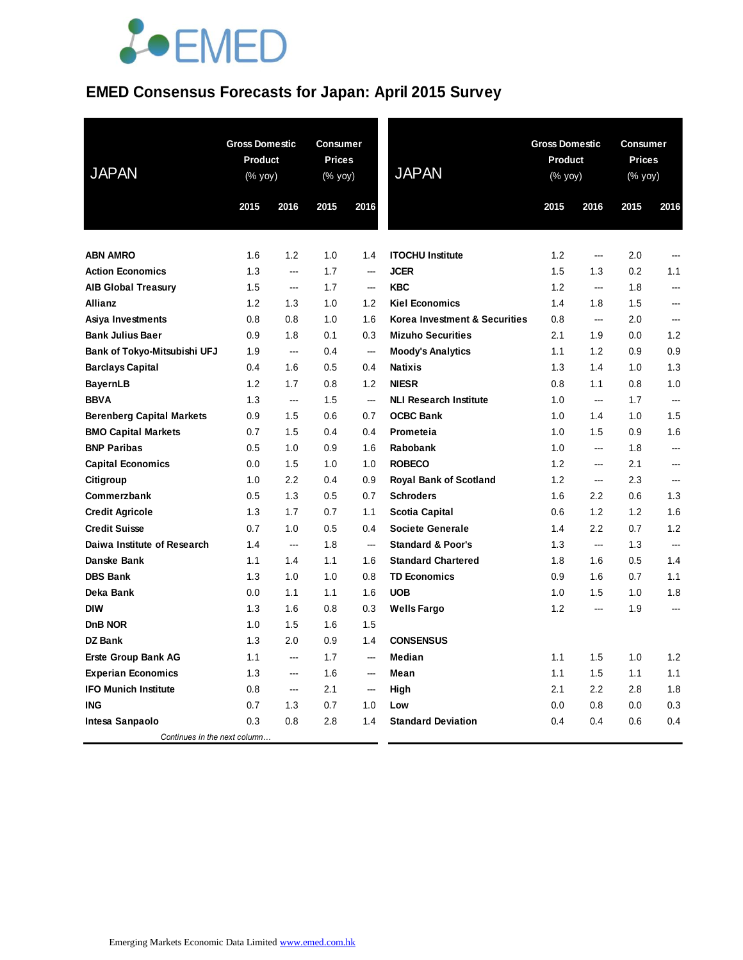# **JOEMED**

# **EMED Consensus Forecasts for Japan: April 2015 Survey**

| <b>JAPAN</b>                     | <b>Gross Domestic</b><br><b>Product</b><br>$(% \mathsf{Y}^{\prime }\mathsf{Y}^{\prime }\mathsf{Y}^{\prime })$ |                          | <b>Consumer</b><br><b>Prices</b><br>(% yoy) |                          | <b>JAPAN</b>                  |      | <b>Gross Domestic</b><br><b>Product</b><br>(% yoy) |      | <b>Consumer</b><br><b>Prices</b><br>(% yoy) |  |
|----------------------------------|---------------------------------------------------------------------------------------------------------------|--------------------------|---------------------------------------------|--------------------------|-------------------------------|------|----------------------------------------------------|------|---------------------------------------------|--|
|                                  | 2015                                                                                                          | 2016                     | 2015                                        | 2016                     |                               | 2015 | 2016                                               | 2015 | 2016                                        |  |
| <b>ABN AMRO</b>                  | 1.6                                                                                                           | 1.2                      | 1.0                                         | 1.4                      | <b>ITOCHU Institute</b>       | 1.2  | $\overline{\phantom{a}}$                           | 2.0  | ---                                         |  |
| <b>Action Economics</b>          | 1.3                                                                                                           | ---                      | 1.7                                         | ---                      | <b>JCER</b>                   | 1.5  | 1.3                                                | 0.2  | 1.1                                         |  |
| <b>AIB Global Treasury</b>       | 1.5                                                                                                           | ---                      | 1.7                                         | ---                      | <b>KBC</b>                    | 1.2  | ---                                                | 1.8  | ---                                         |  |
| Allianz                          | 1.2                                                                                                           | 1.3                      | 1.0                                         | 1.2                      | <b>Kiel Economics</b>         | 1.4  | 1.8                                                | 1.5  | ---                                         |  |
| Asiya Investments                | 0.8                                                                                                           | 0.8                      | 1.0                                         | 1.6                      | Korea Investment & Securities | 0.8  | $\overline{a}$                                     | 2.0  | ---                                         |  |
| <b>Bank Julius Baer</b>          | 0.9                                                                                                           | 1.8                      | 0.1                                         | 0.3                      | <b>Mizuho Securities</b>      | 2.1  | 1.9                                                | 0.0  | 1.2                                         |  |
| Bank of Tokyo-Mitsubishi UFJ     | 1.9                                                                                                           | ---                      | 0.4                                         | $\overline{\phantom{a}}$ | <b>Moody's Analytics</b>      | 1.1  | 1.2                                                | 0.9  | 0.9                                         |  |
| <b>Barclays Capital</b>          | 0.4                                                                                                           | 1.6                      | 0.5                                         | 0.4                      | <b>Natixis</b>                | 1.3  | 1.4                                                | 1.0  | 1.3                                         |  |
| <b>BayernLB</b>                  | 1.2                                                                                                           | 1.7                      | 0.8                                         | 1.2                      | <b>NIESR</b>                  | 0.8  | 1.1                                                | 0.8  | 1.0                                         |  |
| <b>BBVA</b>                      | 1.3                                                                                                           | $\sim$                   | 1.5                                         | ---                      | <b>NLI Research Institute</b> | 1.0  | ---                                                | 1.7  | ---                                         |  |
| <b>Berenberg Capital Markets</b> | 0.9                                                                                                           | 1.5                      | 0.6                                         | 0.7                      | <b>OCBC Bank</b>              | 1.0  | 1.4                                                | 1.0  | 1.5                                         |  |
| <b>BMO Capital Markets</b>       | 0.7                                                                                                           | 1.5                      | 0.4                                         | 0.4                      | Prometeia                     | 1.0  | 1.5                                                | 0.9  | 1.6                                         |  |
| <b>BNP Paribas</b>               | 0.5                                                                                                           | 1.0                      | 0.9                                         | 1.6                      | <b>Rabobank</b>               | 1.0  | ---                                                | 1.8  | ---                                         |  |
| <b>Capital Economics</b>         | 0.0                                                                                                           | 1.5                      | 1.0                                         | 1.0                      | <b>ROBECO</b>                 | 1.2  | ---                                                | 2.1  | ---                                         |  |
| Citigroup                        | 1.0                                                                                                           | 2.2                      | 0.4                                         | 0.9                      | <b>Royal Bank of Scotland</b> | 1.2  | $\overline{\phantom{a}}$                           | 2.3  | ---                                         |  |
| Commerzbank                      | 0.5                                                                                                           | 1.3                      | 0.5                                         | 0.7                      | <b>Schroders</b>              | 1.6  | 2.2                                                | 0.6  | 1.3                                         |  |
| <b>Credit Agricole</b>           | 1.3                                                                                                           | 1.7                      | 0.7                                         | 1.1                      | <b>Scotia Capital</b>         | 0.6  | 1.2                                                | 1.2  | 1.6                                         |  |
| <b>Credit Suisse</b>             | 0.7                                                                                                           | 1.0                      | 0.5                                         | 0.4                      | <b>Societe Generale</b>       | 1.4  | 2.2                                                | 0.7  | 1.2                                         |  |
| Daiwa Institute of Research      | 1.4                                                                                                           | $\overline{\phantom{a}}$ | 1.8                                         | $\overline{\phantom{a}}$ | <b>Standard &amp; Poor's</b>  | 1.3  | ---                                                | 1.3  |                                             |  |
| Danske Bank                      | 1.1                                                                                                           | 1.4                      | 1.1                                         | 1.6                      | <b>Standard Chartered</b>     | 1.8  | 1.6                                                | 0.5  | 1.4                                         |  |
| <b>DBS Bank</b>                  | 1.3                                                                                                           | 1.0                      | 1.0                                         | 0.8                      | <b>TD Economics</b>           | 0.9  | 1.6                                                | 0.7  | 1.1                                         |  |
| Deka Bank                        | 0.0                                                                                                           | 1.1                      | 1.1                                         | 1.6                      | <b>UOB</b>                    | 1.0  | 1.5                                                | 1.0  | 1.8                                         |  |
| <b>DIW</b>                       | 1.3                                                                                                           | 1.6                      | 0.8                                         | 0.3                      | <b>Wells Fargo</b>            | 1.2  | ---                                                | 1.9  | ---                                         |  |
| <b>DnB NOR</b>                   | 1.0                                                                                                           | 1.5                      | 1.6                                         | 1.5                      |                               |      |                                                    |      |                                             |  |
| <b>DZ Bank</b>                   | 1.3                                                                                                           | 2.0                      | 0.9                                         | 1.4                      | <b>CONSENSUS</b>              |      |                                                    |      |                                             |  |
| <b>Erste Group Bank AG</b>       | 1.1                                                                                                           | $\overline{\phantom{a}}$ | 1.7                                         | $\overline{\phantom{a}}$ | Median                        | 1.1  | 1.5                                                | 1.0  | 1.2                                         |  |
| <b>Experian Economics</b>        | 1.3                                                                                                           | $\overline{\phantom{a}}$ | 1.6                                         | ---                      | Mean                          | 1.1  | 1.5                                                | 1.1  | 1.1                                         |  |
| <b>IFO Munich Institute</b>      | 0.8                                                                                                           | $\sim$                   | 2.1                                         | ---                      | High                          | 2.1  | 2.2                                                | 2.8  | 1.8                                         |  |
| <b>ING</b>                       | 0.7                                                                                                           | 1.3                      | 0.7                                         | 1.0                      | Low                           | 0.0  | 0.8                                                | 0.0  | 0.3                                         |  |
| Intesa Sanpaolo                  | 0.3                                                                                                           | 0.8                      | 2.8                                         | 1.4                      | <b>Standard Deviation</b>     | 0.4  | 0.4                                                | 0.6  | 0.4                                         |  |
| Continues in the next column     |                                                                                                               |                          |                                             |                          |                               |      |                                                    |      |                                             |  |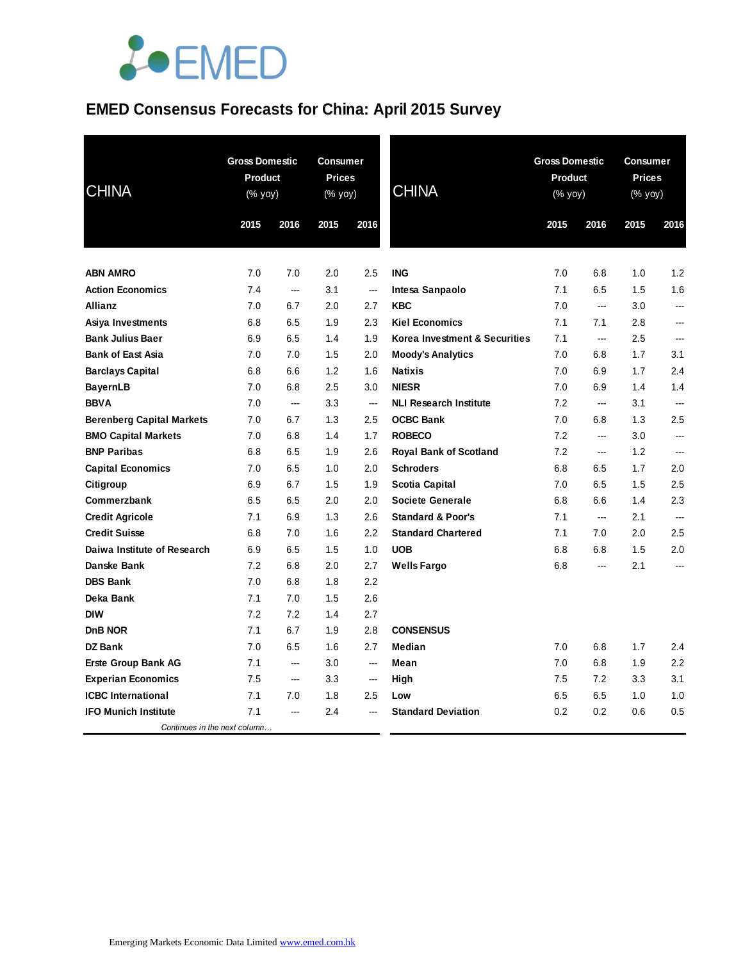

# **EMED Consensus Forecasts for China: April 2015 Survey**

| <b>CHINA</b>                     | <b>Gross Domestic</b><br><b>Product</b><br>$(% \mathsf{Y}^{\prime }\mathsf{Y}^{\prime }\mathsf{Y}^{\prime })$ |                | Consumer<br><b>Prices</b><br>(% yoy) |                          | <b>CHINA</b>                  | <b>Gross Domestic</b><br><b>Product</b><br>(% yoy) |                          |      | <b>Consumer</b><br><b>Prices</b><br>$(% \mathsf{y}\right)$ (% $\overline{\mathsf{y}\mathsf{y}}$ ) |  |
|----------------------------------|---------------------------------------------------------------------------------------------------------------|----------------|--------------------------------------|--------------------------|-------------------------------|----------------------------------------------------|--------------------------|------|---------------------------------------------------------------------------------------------------|--|
|                                  | 2015                                                                                                          | 2016           | 2015                                 | 2016                     |                               | 2015                                               | 2016                     | 2015 | 2016                                                                                              |  |
|                                  |                                                                                                               |                |                                      |                          |                               |                                                    |                          |      |                                                                                                   |  |
| <b>ABN AMRO</b>                  | 7.0                                                                                                           | 7.0            | 2.0                                  | 2.5                      | <b>ING</b>                    | 7.0                                                | 6.8                      | 1.0  | 1.2                                                                                               |  |
| <b>Action Economics</b>          | 7.4                                                                                                           | ---            | 3.1                                  | $\overline{\phantom{a}}$ | Intesa Sanpaolo               | 7.1                                                | 6.5                      | 1.5  | 1.6                                                                                               |  |
| Allianz                          | 7.0                                                                                                           | 6.7            | 2.0                                  | 2.7                      | <b>KBC</b>                    | 7.0                                                | ---                      | 3.0  | ---                                                                                               |  |
| Asiya Investments                | 6.8                                                                                                           | 6.5            | 1.9                                  | 2.3                      | <b>Kiel Economics</b>         | 7.1                                                | 7.1                      | 2.8  | ---                                                                                               |  |
| <b>Bank Julius Baer</b>          | 6.9                                                                                                           | 6.5            | 1.4                                  | 1.9                      | Korea Investment & Securities | 7.1                                                | ---                      | 2.5  | ---                                                                                               |  |
| <b>Bank of East Asia</b>         | 7.0                                                                                                           | 7.0            | 1.5                                  | 2.0                      | <b>Moody's Analytics</b>      | 7.0                                                | 6.8                      | 1.7  | 3.1                                                                                               |  |
| <b>Barclays Capital</b>          | 6.8                                                                                                           | 6.6            | 1.2                                  | 1.6                      | <b>Natixis</b>                | 7.0                                                | 6.9                      | 1.7  | 2.4                                                                                               |  |
| <b>BayernLB</b>                  | 7.0                                                                                                           | 6.8            | 2.5                                  | 3.0                      | <b>NIESR</b>                  | 7.0                                                | 6.9                      | 1.4  | 1.4                                                                                               |  |
| <b>BBVA</b>                      | 7.0                                                                                                           | ---            | 3.3                                  | $\overline{\phantom{a}}$ | <b>NLI Research Institute</b> | 7.2                                                | ---                      | 3.1  | ---                                                                                               |  |
| <b>Berenberg Capital Markets</b> | 7.0                                                                                                           | 6.7            | 1.3                                  | 2.5                      | <b>OCBC Bank</b>              | 7.0                                                | 6.8                      | 1.3  | 2.5                                                                                               |  |
| <b>BMO Capital Markets</b>       | 7.0                                                                                                           | 6.8            | 1.4                                  | 1.7                      | <b>ROBECO</b>                 | 7.2                                                | ---                      | 3.0  | ---                                                                                               |  |
| <b>BNP Paribas</b>               | 6.8                                                                                                           | 6.5            | 1.9                                  | 2.6                      | <b>Royal Bank of Scotland</b> | 7.2                                                | $\overline{\phantom{a}}$ | 1.2  | ---                                                                                               |  |
| <b>Capital Economics</b>         | 7.0                                                                                                           | 6.5            | 1.0                                  | 2.0                      | <b>Schroders</b>              | 6.8                                                | 6.5                      | 1.7  | 2.0                                                                                               |  |
| Citigroup                        | 6.9                                                                                                           | 6.7            | 1.5                                  | 1.9                      | <b>Scotia Capital</b>         | 7.0                                                | 6.5                      | 1.5  | 2.5                                                                                               |  |
| Commerzbank                      | 6.5                                                                                                           | 6.5            | 2.0                                  | 2.0                      | <b>Societe Generale</b>       | 6.8                                                | 6.6                      | 1.4  | 2.3                                                                                               |  |
| <b>Credit Agricole</b>           | 7.1                                                                                                           | 6.9            | 1.3                                  | 2.6                      | <b>Standard &amp; Poor's</b>  | 7.1                                                | ---                      | 2.1  | ---                                                                                               |  |
| <b>Credit Suisse</b>             | 6.8                                                                                                           | 7.0            | 1.6                                  | 2.2                      | <b>Standard Chartered</b>     | 7.1                                                | 7.0                      | 2.0  | 2.5                                                                                               |  |
| Daiwa Institute of Research      | 6.9                                                                                                           | 6.5            | 1.5                                  | 1.0                      | <b>UOB</b>                    | 6.8                                                | 6.8                      | 1.5  | 2.0                                                                                               |  |
| Danske Bank                      | 7.2                                                                                                           | 6.8            | 2.0                                  | 2.7                      | <b>Wells Fargo</b>            | 6.8                                                | ---                      | 2.1  | ---                                                                                               |  |
| <b>DBS Bank</b>                  | 7.0                                                                                                           | 6.8            | 1.8                                  | 2.2                      |                               |                                                    |                          |      |                                                                                                   |  |
| Deka Bank                        | 7.1                                                                                                           | 7.0            | 1.5                                  | 2.6                      |                               |                                                    |                          |      |                                                                                                   |  |
| <b>DIW</b>                       | 7.2                                                                                                           | 7.2            | 1.4                                  | 2.7                      |                               |                                                    |                          |      |                                                                                                   |  |
| DnB NOR                          | 7.1                                                                                                           | 6.7            | 1.9                                  | 2.8                      | <b>CONSENSUS</b>              |                                                    |                          |      |                                                                                                   |  |
| <b>DZ Bank</b>                   | 7.0                                                                                                           | 6.5            | 1.6                                  | 2.7                      | <b>Median</b>                 | 7.0                                                | 6.8                      | 1.7  | 2.4                                                                                               |  |
| <b>Erste Group Bank AG</b>       | 7.1                                                                                                           | $\overline{a}$ | 3.0                                  | $\overline{a}$           | Mean                          | 7.0                                                | 6.8                      | 1.9  | 2.2                                                                                               |  |
| <b>Experian Economics</b>        | 7.5                                                                                                           | ---            | 3.3                                  | $\hspace{0.05cm} \ldots$ | High                          | 7.5                                                | 7.2                      | 3.3  | 3.1                                                                                               |  |
| <b>ICBC</b> International        | 7.1                                                                                                           | 7.0            | 1.8                                  | 2.5                      | Low                           | 6.5                                                | 6.5                      | 1.0  | 1.0                                                                                               |  |
| <b>IFO Munich Institute</b>      | 7.1                                                                                                           | ---            | 2.4                                  |                          | <b>Standard Deviation</b>     | 0.2                                                | 0.2                      | 0.6  | 0.5                                                                                               |  |
| Continues in the next column     |                                                                                                               |                |                                      |                          |                               |                                                    |                          |      |                                                                                                   |  |